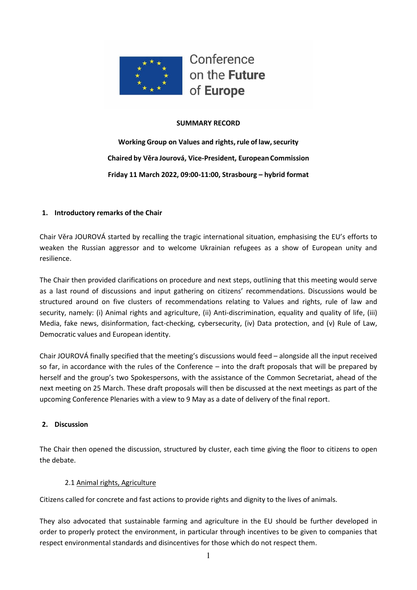

Conference on the Future of Europe

## **SUMMARY RECORD**

**Working Group on Values and rights, rule of law, security Chaired by Věra Jourová, Vice-President, European Commission Friday 11 March 2022, 09:00-11:00, Strasbourg – hybrid format** 

## **1. Introductory remarks of the Chair**

Chair Věra JOUROVÁ started by recalling the tragic international situation, emphasising the EU's efforts to weaken the Russian aggressor and to welcome Ukrainian refugees as a show of European unity and resilience.

The Chair then provided clarifications on procedure and next steps, outlining that this meeting would serve as a last round of discussions and input gathering on citizens' recommendations. Discussions would be structured around on five clusters of recommendations relating to Values and rights, rule of law and security, namely: (i) Animal rights and agriculture, (ii) Anti-discrimination, equality and quality of life, (iii) Media, fake news, disinformation, fact-checking, cybersecurity, (iv) Data protection, and (v) Rule of Law, Democratic values and European identity.

Chair JOUROVÁ finally specified that the meeting's discussions would feed – alongside all the input received so far, in accordance with the rules of the Conference – into the draft proposals that will be prepared by herself and the group's two Spokespersons, with the assistance of the Common Secretariat, ahead of the next meeting on 25 March. These draft proposals will then be discussed at the next meetings as part of the upcoming Conference Plenaries with a view to 9 May as a date of delivery of the final report.

### **2. Discussion**

The Chair then opened the discussion, structured by cluster, each time giving the floor to citizens to open the debate.

### 2.1 Animal rights, Agriculture

Citizens called for concrete and fast actions to provide rights and dignity to the lives of animals.

They also advocated that sustainable farming and agriculture in the EU should be further developed in order to properly protect the environment, in particular through incentives to be given to companies that respect environmental standards and disincentives for those which do not respect them.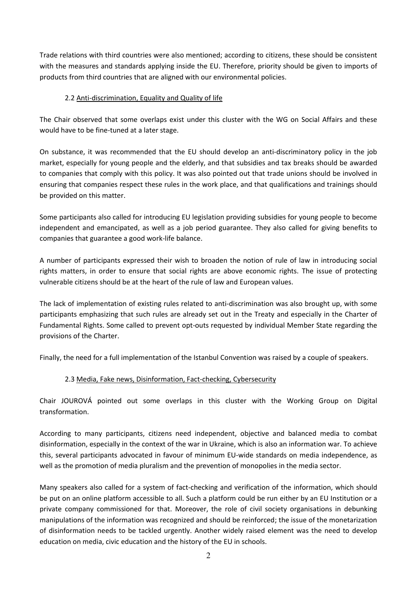Trade relations with third countries were also mentioned; according to citizens, these should be consistent with the measures and standards applying inside the EU. Therefore, priority should be given to imports of products from third countries that are aligned with our environmental policies.

## 2.2 Anti-discrimination, Equality and Quality of life

The Chair observed that some overlaps exist under this cluster with the WG on Social Affairs and these would have to be fine-tuned at a later stage.

On substance, it was recommended that the EU should develop an anti-discriminatory policy in the job market, especially for young people and the elderly, and that subsidies and tax breaks should be awarded to companies that comply with this policy. It was also pointed out that trade unions should be involved in ensuring that companies respect these rules in the work place, and that qualifications and trainings should be provided on this matter.

Some participants also called for introducing EU legislation providing subsidies for young people to become independent and emancipated, as well as a job period guarantee. They also called for giving benefits to companies that guarantee a good work-life balance.

A number of participants expressed their wish to broaden the notion of rule of law in introducing social rights matters, in order to ensure that social rights are above economic rights. The issue of protecting vulnerable citizens should be at the heart of the rule of law and European values.

The lack of implementation of existing rules related to anti-discrimination was also brought up, with some participants emphasizing that such rules are already set out in the Treaty and especially in the Charter of Fundamental Rights. Some called to prevent opt-outs requested by individual Member State regarding the provisions of the Charter.

Finally, the need for a full implementation of the Istanbul Convention was raised by a couple of speakers.

# 2.3 Media, Fake news, Disinformation, Fact-checking, Cybersecurity

Chair JOUROVÁ pointed out some overlaps in this cluster with the Working Group on Digital transformation.

According to many participants, citizens need independent, objective and balanced media to combat disinformation, especially in the context of the war in Ukraine, which is also an information war. To achieve this, several participants advocated in favour of minimum EU-wide standards on media independence, as well as the promotion of media pluralism and the prevention of monopolies in the media sector.

Many speakers also called for a system of fact-checking and verification of the information, which should be put on an online platform accessible to all. Such a platform could be run either by an EU Institution or a private company commissioned for that. Moreover, the role of civil society organisations in debunking manipulations of the information was recognized and should be reinforced; the issue of the monetarization of disinformation needs to be tackled urgently. Another widely raised element was the need to develop education on media, civic education and the history of the EU in schools.